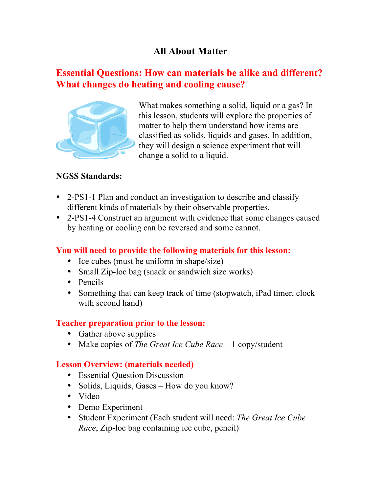# **All About Matter**

## **Essential Questions: How can materials be alike and different? What changes do heating and cooling cause?**



What makes something a solid, liquid or a gas? In this lesson, students will explore the properties of matter to help them understand how items are classified as solids, liquids and gases. In addition, they will design a science experiment that will change a solid to a liquid.

#### **NGSS Standards:**

- 2-PS1-1 Plan and conduct an investigation to describe and classify different kinds of materials by their observable properties.
- 2-PS1-4 Construct an argument with evidence that some changes caused by heating or cooling can be reversed and some cannot.

#### **You will need to provide the following materials for this lesson:**

- Ice cubes (must be uniform in shape/size)
- Small Zip-loc bag (snack or sandwich size works)
- Pencils
- Something that can keep track of time (stopwatch, iPad timer, clock with second hand)

#### **Teacher preparation prior to the lesson:**

- Gather above supplies
- Make copies of *The Great Ice Cube Race* 1 copy/student

#### **Lesson Overview: (materials needed)**

- Essential Question Discussion
- Solids, Liquids, Gases How do you know?
- Video
- Demo Experiment
- Student Experiment (Each student will need: *The Great Ice Cube Race*, Zip-loc bag containing ice cube, pencil)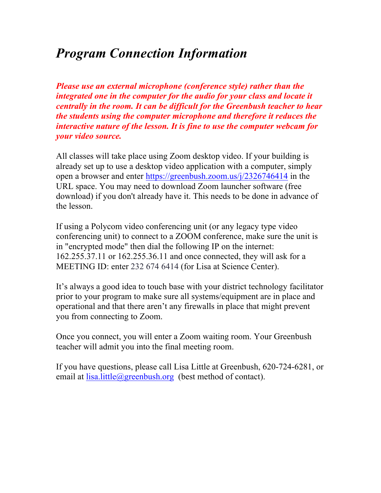# *Program Connection Information*

*Please use an external microphone (conference style) rather than the integrated one in the computer for the audio for your class and locate it centrally in the room. It can be difficult for the Greenbush teacher to hear the students using the computer microphone and therefore it reduces the interactive nature of the lesson. It is fine to use the computer webcam for your video source.*

All classes will take place using Zoom desktop video. If your building is already set up to use a desktop video application with a computer, simply open a browser and enter https://greenbush.zoom.us/j/2326746414 in the URL space. You may need to download Zoom launcher software (free download) if you don't already have it. This needs to be done in advance of the lesson.

If using a Polycom video conferencing unit (or any legacy type video conferencing unit) to connect to a ZOOM conference, make sure the unit is in "encrypted mode" then dial the following IP on the internet: 162.255.37.11 or 162.255.36.11 and once connected, they will ask for a MEETING ID: enter 232 674 6414 (for Lisa at Science Center).

It's always a good idea to touch base with your district technology facilitator prior to your program to make sure all systems/equipment are in place and operational and that there aren't any firewalls in place that might prevent you from connecting to Zoom.

Once you connect, you will enter a Zoom waiting room. Your Greenbush teacher will admit you into the final meeting room.

If you have questions, please call Lisa Little at Greenbush, 620-724-6281, or email at lisa.little@greenbush.org (best method of contact).